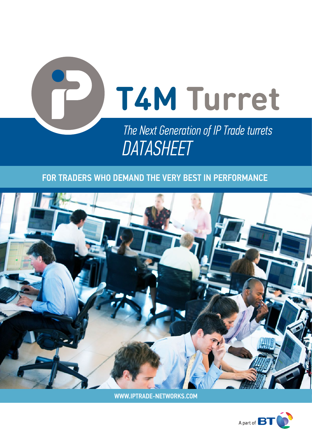

# **FOR TRADERS WHO DEMAND THE VERY BEST IN PERFORMANCE**



WWW.IPTRADE-NETWORKS.COM

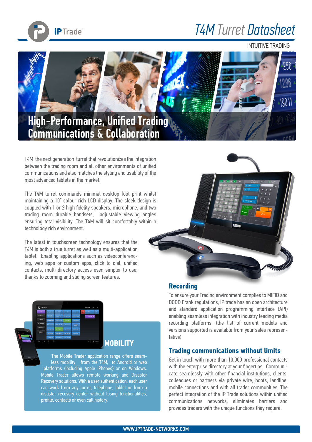

## *T4M Turret Datasheet*

INTUITIVE TRADING



T4M the next generation turret that revolutionizes the integration between the trading room and all other environments of unified communications and also matches the styling and usability of the most advanced tablets in the market.

The T4M turret commands minimal desktop foot print whilst maintaining a 10" colour rich LCD display. The sleek design is coupled with 1 or 2 high fidelity speakers, microphone, and two trading room durable handsets, adjustable viewing angles ensuring total visibility. The T4M will sit comfortably within a technology rich environment.

The latest in touchscreen technology ensures that the T4M is both a true turret as well as a multi-application tablet. Enabling applications such as videoconferencing, web apps or custom apps, click to dial, unified contacts, multi directory access even simpler to use; thanks to zooming and sliding screen features.





The Mobile Trader application range offers seamless mobility from the T4M, to Android or web platforms (including Apple iPhones) or on Windows. Mobile Trader allows remote working and Disaster Recovery solutions. With a user authentication, each user can work from any turret, telephone, tablet or from a disaster recovery center without losing functionalities, profile, contacts or even call history.

### **Recording**

To ensure your Trading environment complies to MIFID and DODD Frank regulations, IP trade has an open architecture and standard application programming interface (API) enabling seamless integration with industry leading media recording platforms. (the list of current models and versions supported is available from your sales representative).

### **Trading communications without limits**

Get in touch with more than 10.000 professional contacts with the enterprise directory at your fingertips. Communicate seamlessly with other financial institutions, clients, colleagues or partners via private wire, hoots, landline, mobile connections and with all trader communities. The perfect integration of the IP Trade solutions within unified communications networks, eliminates barriers and provides traders with the unique functions they require.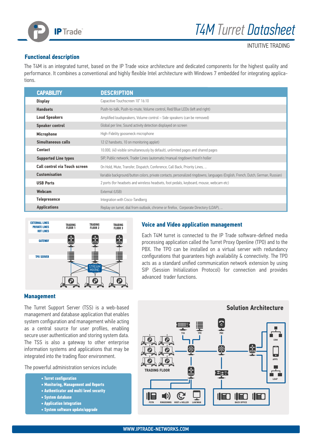

INTUITIVE TRADING

### **Functional description**

The T4M is an integrated turret, based on the IP Trade voice architecture and dedicated components for the highest quality and performance. It combines a conventional and highly flexible Intel architecture with Windows 7 embedded for integrating applications.

| <b>CAPABILITY</b>                    | <b>DESCRIPTION</b>                                                                                                               |
|--------------------------------------|----------------------------------------------------------------------------------------------------------------------------------|
| <b>Display</b>                       | Capacitive Touchscreen 10" 16:10                                                                                                 |
| <b>Handsets</b>                      | Push-to-talk, Push-to-mute, Volume control, Red/Blue LEDs (left and right)                                                       |
| <b>Loud Speakers</b>                 | Amplified loudspeakers, Volume control - Side speakers (can be removed)                                                          |
| <b>Speaker control</b>               | Global per line, Sound activity detection displayed on screen                                                                    |
| <b>Microphone</b>                    | High-Fidelity gooseneck microphone                                                                                               |
| Simultaneous calls                   | 12 (2 handsets, 10 on monitoring applet)                                                                                         |
| <b>Contact</b>                       | 10.000, (40 visible simultaneously by default), unlimited pages and shared pages                                                 |
| <b>Supported Line types</b>          | SIP, Public network, Trader Lines (automatic/manual ringdown) hoot'n holler                                                      |
| <b>Call control via Touch screen</b> | On Hold, Mute, Transfer, Dispatch, Conference, Call Back, Priority Lines,                                                        |
| <b>Customisation</b>                 | Variable background/button colors, private contacts, personalized ringdowns, languages (English, French, Dutch, German, Russian) |
| <b>USB Ports</b>                     | 2 ports (for headsets and wireless headsets, foot pedals, keyboard, mouse, webcam etc)                                           |
| Webcam                               | External (USB)                                                                                                                   |
| <b>Telepresence</b>                  | Integration with Cisco-Tandberg                                                                                                  |
| <b>Applications</b>                  | Replay on turret, dial from outlook, chrome or firefox, Corporate Directory (LDAP),                                              |



#### **Voice and Video application management**

Each T4M turret is connected to the IP Trade software-defined media processing application called the Turret Proxy Openline (TPO) and to the PBX. The TPO can be installed on a virtual server with redundancy configurations that guarantees high availability & connectivity. The TPO acts as a standard unified communication network extension by using SIP (Session Initialization Protocol) for connection and provides advanced trader functions.

#### **Management**

The Turret Support Server (TSS) is a web-based management and database application that enables system configuration and management while acting as a central source for user profiles, enabling secure user authentication and storing system data. The TSS is also a gateway to other enterprise information systems and applications that may be integrated into the trading floor environment.

The powerful administration services include:

#### **• Turret configuration**

- **Monitoring, Management and Reports**
- **Authenticator and multi level security**
- **System database**
- **Application Integration**
- **System software update/upgrade**

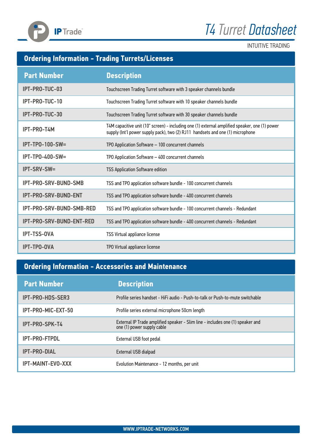



INTUITIVE TRADING

## **Ordering Information - Trading Turrets/Licenses**

| <b>Part Number</b>          | <b>Description</b>                                                                                                                                                               |
|-----------------------------|----------------------------------------------------------------------------------------------------------------------------------------------------------------------------------|
| IPT-PRO-TUC-03              | Touchscreen Trading Turret software with 3 speaker channels bundle                                                                                                               |
| IPT-PRO-TUC-10              | Touchscreen Trading Turret software with 10 speaker channels bundle                                                                                                              |
| IPT-PRO-TUC-30              | Touchscreen Trading Turret software with 30 speaker channels bundle                                                                                                              |
| IPT-PRO-T4M                 | T4M capacitive unit (10" screen) - including one (1) external amplified speaker, one (1) power<br>supply (Int'l power supply pack), two (2) RJ11 handsets and one (1) microphone |
| <b>IPT-TP0-100-SW=</b>      | TPO Application Software - 100 concurrent channels                                                                                                                               |
| IPT-TP0-400-SW=             | TPO Application Software - 400 concurrent channels                                                                                                                               |
| <b>IPT-SRV-SW=</b>          | <b>TSS Application Software edition</b>                                                                                                                                          |
| IPT-PRO-SRV-BUND-SMB        | TSS and TPO application software bundle - 100 concurrent channels                                                                                                                |
| <b>IPT-PRO-SRV-BUND-ENT</b> | TSS and TPO application software bundle - 400 concurrent channels                                                                                                                |
| IPT-PRO-SRV-BUND-SMB-RED    | TSS and TPO application software bundle - 100 concurrent channels - Redundant                                                                                                    |
| IPT-PRO-SRV-BUND-ENT-RED    | TSS and TPO application software bundle - 400 concurrent channels - Redundant                                                                                                    |
| <b>IPT-TSS-OVA</b>          | TSS Virtual appliance license                                                                                                                                                    |
| <b>IPT-TPO-OVA</b>          | TPO Virtual appliance license                                                                                                                                                    |

## **Ordering Information - Accessories and Maintenance**

| <b>Part Number</b>       | <b>Description</b>                                                                                        |
|--------------------------|-----------------------------------------------------------------------------------------------------------|
| IPT-PRO-HDS-SER3         | Profile series handset - HiFi audio - Push-to-talk or Push-to-mute switchable                             |
| IPT-PRO-MIC-EXT-50       | Profile series external microphone 50cm length                                                            |
| <b>IPT-PRO-SPK-T4</b>    | External IP Trade amplified speaker - Slim line - includes one (1) speaker and one (1) power supply cable |
| <b>IPT-PRO-FTPDL</b>     | External USB foot pedal                                                                                   |
| <b>IPT-PRO-DIAL</b>      | External USB dialpad                                                                                      |
| <b>IPT-MAINT-EVO-XXX</b> | Evolution Maintenance - 12 months, per unit                                                               |